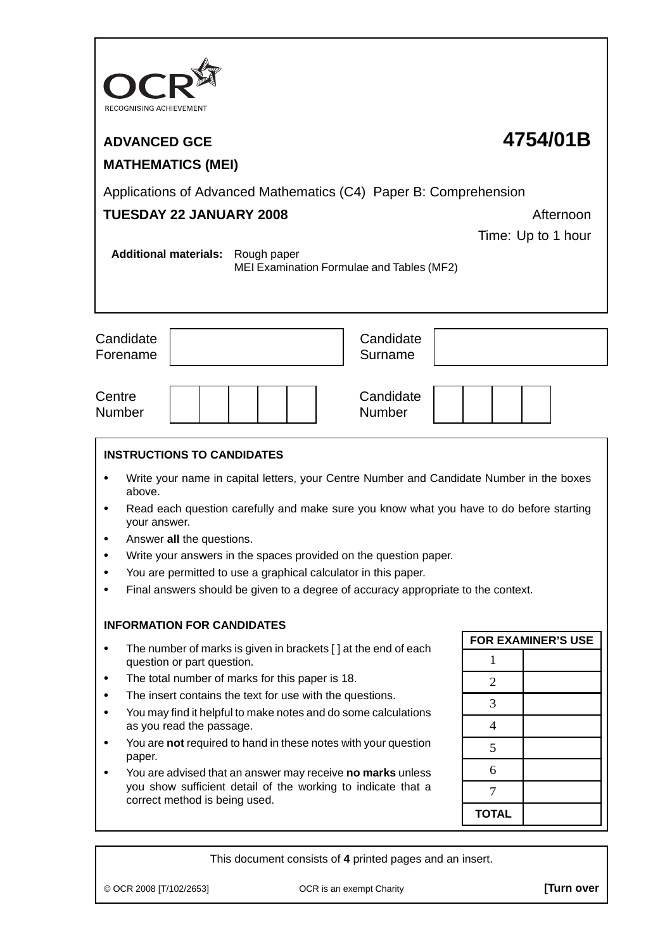| RECOGNISING ACHIEVEMENT                                                                                                                                                                                                                                                                                                                                                                                                                                                                                                                                      |                           |  |  |  |  |  |
|--------------------------------------------------------------------------------------------------------------------------------------------------------------------------------------------------------------------------------------------------------------------------------------------------------------------------------------------------------------------------------------------------------------------------------------------------------------------------------------------------------------------------------------------------------------|---------------------------|--|--|--|--|--|
| <b>ADVANCED GCE</b>                                                                                                                                                                                                                                                                                                                                                                                                                                                                                                                                          | 4754/01B                  |  |  |  |  |  |
| <b>MATHEMATICS (MEI)</b>                                                                                                                                                                                                                                                                                                                                                                                                                                                                                                                                     |                           |  |  |  |  |  |
| Applications of Advanced Mathematics (C4) Paper B: Comprehension<br><b>TUESDAY 22 JANUARY 2008</b><br>Afternoon<br>Time: Up to 1 hour                                                                                                                                                                                                                                                                                                                                                                                                                        |                           |  |  |  |  |  |
| <b>Additional materials:</b><br>Rough paper<br>MEI Examination Formulae and Tables (MF2)                                                                                                                                                                                                                                                                                                                                                                                                                                                                     |                           |  |  |  |  |  |
| Candidate<br>Candidate<br>Surname<br>Forename                                                                                                                                                                                                                                                                                                                                                                                                                                                                                                                |                           |  |  |  |  |  |
| Candidate<br>Centre<br><b>Number</b><br><b>Number</b>                                                                                                                                                                                                                                                                                                                                                                                                                                                                                                        |                           |  |  |  |  |  |
| <b>INSTRUCTIONS TO CANDIDATES</b><br>Write your name in capital letters, your Centre Number and Candidate Number in the boxes<br>above.<br>Read each question carefully and make sure you know what you have to do before starting<br>your answer.<br>Answer all the questions.<br>Write your answers in the spaces provided on the question paper.<br>$\bullet$<br>You are permitted to use a graphical calculator in this paper.<br>Final answers should be given to a degree of accuracy appropriate to the context.<br><b>INFORMATION FOR CANDIDATES</b> |                           |  |  |  |  |  |
| The number of marks is given in brackets [] at the end of each<br>٠                                                                                                                                                                                                                                                                                                                                                                                                                                                                                          | <b>FOR EXAMINER'S USE</b> |  |  |  |  |  |
| question or part question.                                                                                                                                                                                                                                                                                                                                                                                                                                                                                                                                   |                           |  |  |  |  |  |
| The total number of marks for this paper is 18.<br>٠                                                                                                                                                                                                                                                                                                                                                                                                                                                                                                         | $\overline{2}$            |  |  |  |  |  |
| The insert contains the text for use with the questions.<br>You may find it helpful to make notes and do some calculations<br>as you read the passage.                                                                                                                                                                                                                                                                                                                                                                                                       |                           |  |  |  |  |  |
|                                                                                                                                                                                                                                                                                                                                                                                                                                                                                                                                                              |                           |  |  |  |  |  |
| You are not required to hand in these notes with your question<br>paper.                                                                                                                                                                                                                                                                                                                                                                                                                                                                                     | 5<br>6                    |  |  |  |  |  |
| You are advised that an answer may receive no marks unless<br>you show sufficient detail of the working to indicate that a<br>correct method is being used.                                                                                                                                                                                                                                                                                                                                                                                                  |                           |  |  |  |  |  |
|                                                                                                                                                                                                                                                                                                                                                                                                                                                                                                                                                              |                           |  |  |  |  |  |
|                                                                                                                                                                                                                                                                                                                                                                                                                                                                                                                                                              | <b>TOTAL</b>              |  |  |  |  |  |

This document consists of **4** printed pages and an insert.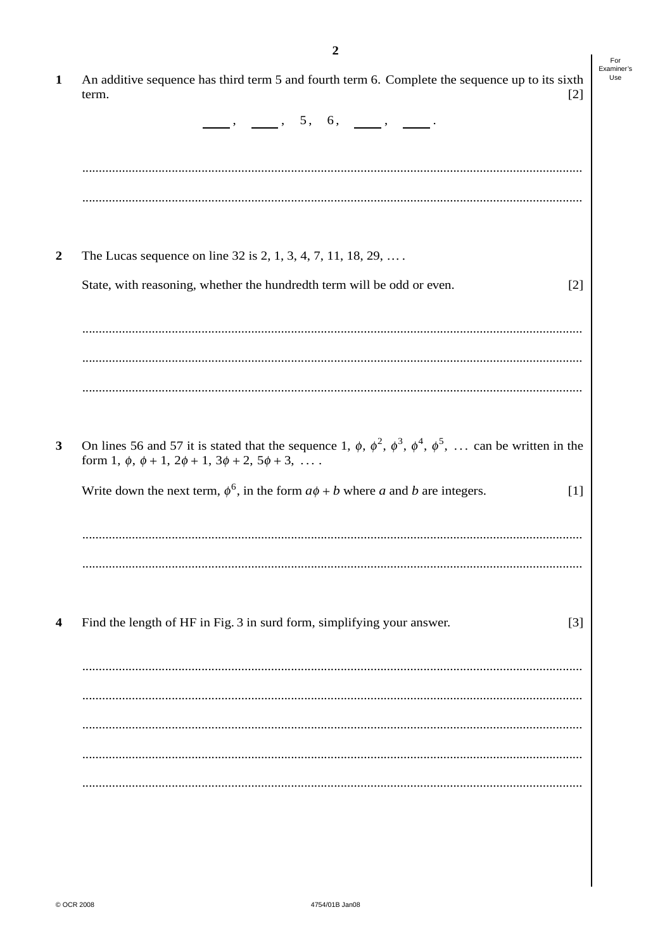|                                                                     | 2                                                                                                                                 |       |
|---------------------------------------------------------------------|-----------------------------------------------------------------------------------------------------------------------------------|-------|
| term.                                                               | An additive sequence has third term 5 and fourth term 6. Complete the sequence up to its sixth                                    | $[2]$ |
|                                                                     | $\frac{1}{\sqrt{2\pi}}$ , $\frac{1}{\sqrt{2\pi}}$ , $\frac{5}{\sqrt{2\pi}}$ , $\frac{1}{\sqrt{2\pi}}$ , $\frac{1}{\sqrt{2\pi}}$ . |       |
|                                                                     |                                                                                                                                   |       |
|                                                                     |                                                                                                                                   |       |
|                                                                     | The Lucas sequence on line 32 is 2, 1, 3, 4, 7, 11, 18, 29,                                                                       |       |
|                                                                     | State, with reasoning, whether the hundredth term will be odd or even.                                                            | $[2]$ |
|                                                                     |                                                                                                                                   |       |
|                                                                     |                                                                                                                                   |       |
|                                                                     |                                                                                                                                   |       |
|                                                                     |                                                                                                                                   |       |
|                                                                     | On lines 56 and 57 it is stated that the sequence 1, $\phi$ , $\phi^2$ , $\phi^3$ , $\phi^4$ , $\phi^5$ ,  can be written in the  |       |
|                                                                     | Write down the next term, $\phi^6$ , in the form $a\phi + b$ where a and b are integers.                                          | $[1]$ |
|                                                                     |                                                                                                                                   |       |
| form 1, $\phi$ , $\phi$ + 1, $2\phi$ + 1, $3\phi$ + 2, $5\phi$ + 3, |                                                                                                                                   |       |
|                                                                     | Find the length of HF in Fig. 3 in surd form, simplifying your answer.                                                            | $[3]$ |
|                                                                     |                                                                                                                                   |       |
|                                                                     |                                                                                                                                   |       |
|                                                                     |                                                                                                                                   |       |
|                                                                     |                                                                                                                                   |       |

 $\overline{\mathbf{c}}$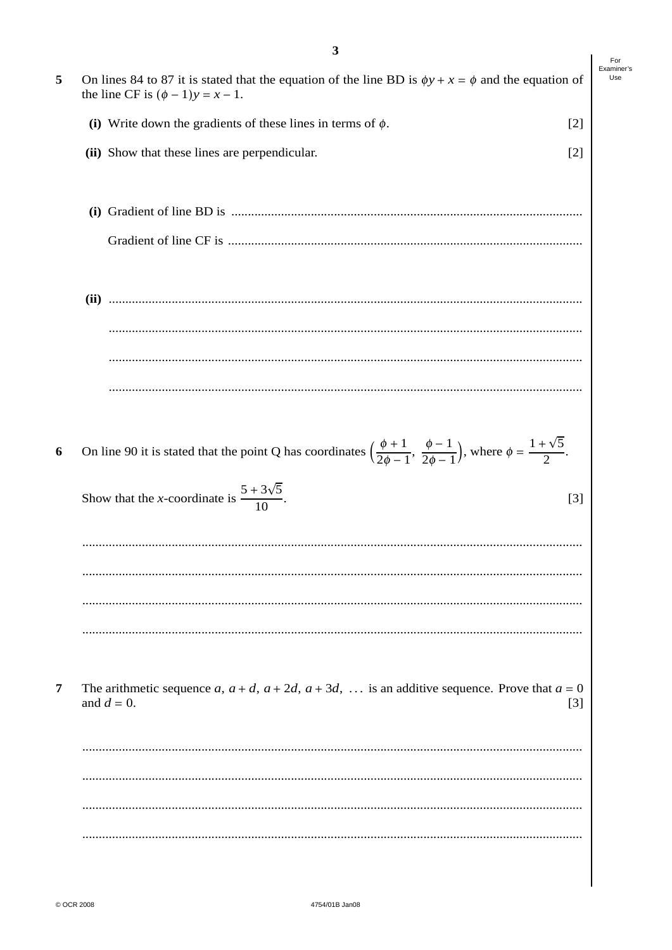|                | 3                                                                                                                                                              | For               |
|----------------|----------------------------------------------------------------------------------------------------------------------------------------------------------------|-------------------|
| 5              | On lines 84 to 87 it is stated that the equation of the line BD is $\phi y + x = \phi$ and the equation of<br>the line CF is $(\phi - 1)y = x - 1$ .           | Examiner's<br>Use |
|                | (i) Write down the gradients of these lines in terms of $\phi$ .<br>$[2]$                                                                                      |                   |
|                | (ii) Show that these lines are perpendicular.<br>$[2]$                                                                                                         |                   |
|                |                                                                                                                                                                |                   |
|                |                                                                                                                                                                |                   |
|                |                                                                                                                                                                |                   |
|                |                                                                                                                                                                |                   |
|                |                                                                                                                                                                |                   |
| 6              | On line 90 it is stated that the point Q has coordinates $\left(\frac{\phi+1}{2\phi-1}, \frac{\phi-1}{2\phi-1}\right)$ , where $\phi = \frac{1+\sqrt{5}}{2}$ . |                   |
|                | Show that the <i>x</i> -coordinate is $\frac{5 + 3\sqrt{5}}{10}$ .<br>$[3]$                                                                                    |                   |
|                |                                                                                                                                                                |                   |
|                |                                                                                                                                                                |                   |
|                |                                                                                                                                                                |                   |
| $\overline{7}$ | The arithmetic sequence a, $a + d$ , $a + 2d$ , $a + 3d$ ,  is an additive sequence. Prove that $a = 0$<br>and $d = 0$ .<br>$[3]$                              |                   |
|                |                                                                                                                                                                |                   |
|                |                                                                                                                                                                |                   |
|                |                                                                                                                                                                |                   |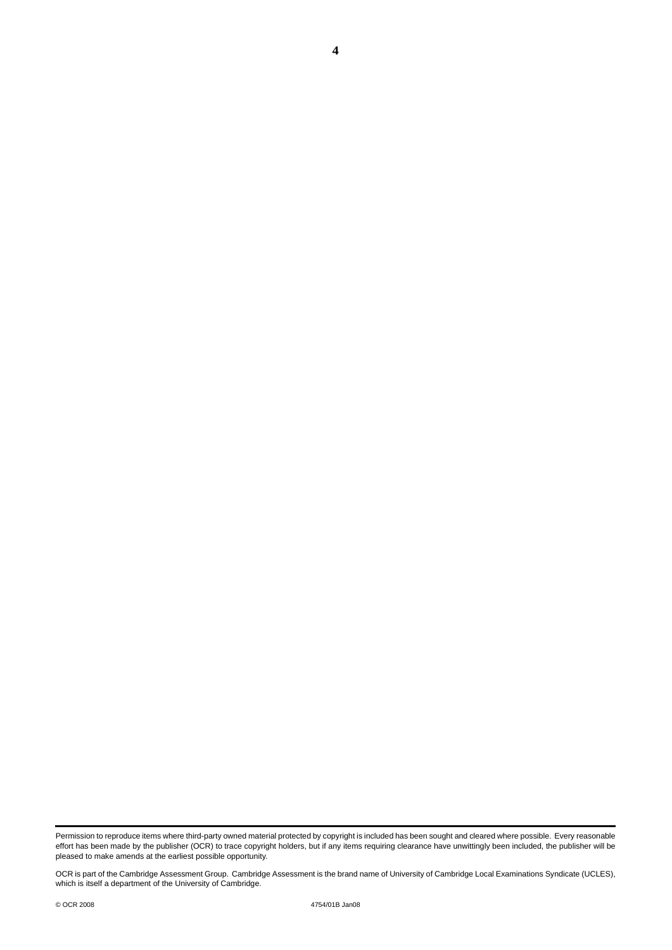**4**

Permission to reproduce items where third-party owned material protected by copyright is included has been sought and cleared where possible. Every reasonable effort has been made by the publisher (OCR) to trace copyright holders, but if any items requiring clearance have unwittingly been included, the publisher will be pleased to make amends at the earliest possible opportunity.

OCR is part of the Cambridge Assessment Group. Cambridge Assessment is the brand name of University of Cambridge Local Examinations Syndicate (UCLES), which is itself a department of the University of Cambridge.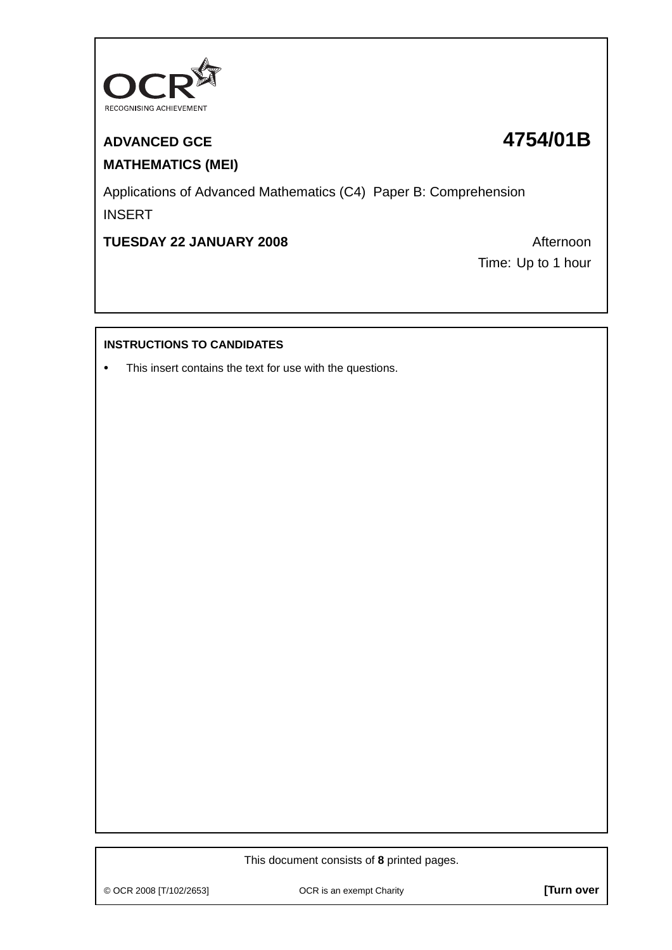

# **ADVANCED GCE 4754/01B MATHEMATICS (MEI)**

Applications of Advanced Mathematics (C4) Paper B: Comprehension INSERT

**TUESDAY 22 JANUARY 2008** Afternoon

Time: Up to 1 hour

## **INSTRUCTIONS TO CANDIDATES**

**•** This insert contains the text for use with the questions.

This document consists of **8** printed pages.

© OCR 2008 [T/102/2653] OCR is an exempt Charity **[Turn over**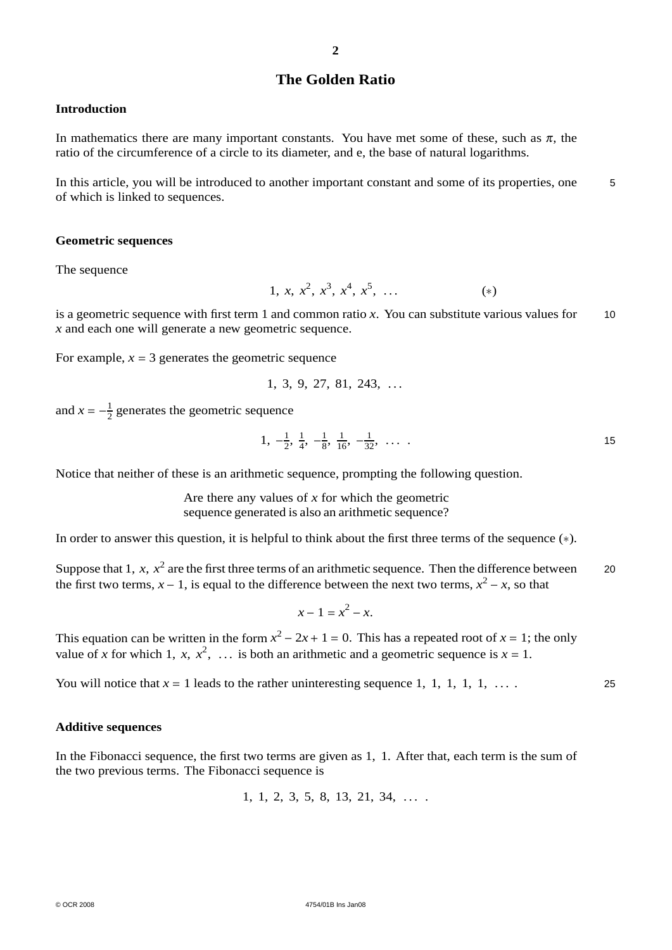## **The Golden Ratio**

#### **Introduction**

In mathematics there are many important constants. You have met some of these, such as  $\pi$ , the ratio of the circumference of a circle to its diameter, and e, the base of natural logarithms.

In this article, you will be introduced to another important constant and some of its properties, one  $\overline{5}$ of which is linked to sequences.

#### **Geometric sequences**

The sequence

1, *x*,  $x^2$ ,  $x^3$ ,  $x^4$ ,  $x^5$ , ... (\*)

is a geometric sequence with first term 1 and common ratio *x*. You can substitute various values for 10 *x* and each one will generate a new geometric sequence.

For example,  $x = 3$  generates the geometric sequence

$$
1, 3, 9, 27, 81, 243, \ldots
$$

and  $x = -\frac{1}{2}$  generates the geometric sequence

$$
1, -\frac{1}{2}, \frac{1}{4}, -\frac{1}{8}, \frac{1}{16}, -\frac{1}{32}, \ldots
$$

Notice that neither of these is an arithmetic sequence, prompting the following question.

Are there any values of *x* for which the geometric sequence generated is also an arithmetic sequence?

In order to answer this question, it is helpful to think about the first three terms of the sequence (∗).

Suppose that 1,  $x$ ,  $x^2$  are the first three terms of an arithmetic sequence. Then the difference between 20 the first two terms,  $x - 1$ , is equal to the difference between the next two terms,  $x^2 - x$ , so that

$$
x - 1 = x^2 - x.
$$

This equation can be written in the form  $x^2 - 2x + 1 = 0$ . This has a repeated root of  $x = 1$ ; the only value of *x* for which 1, *x*,  $x^2$ , ... is both an arithmetic and a geometric sequence is  $x = 1$ .

You will notice that  $x = 1$  leads to the rather uninteresting sequence 1, 1, 1, 1, 1, ...

#### **Additive sequences**

In the Fibonacci sequence, the first two terms are given as 1, 1. After that, each term is the sum of the two previous terms. The Fibonacci sequence is

1, 1, 2, 3, 5, 8, 13, 21, 34, . . . .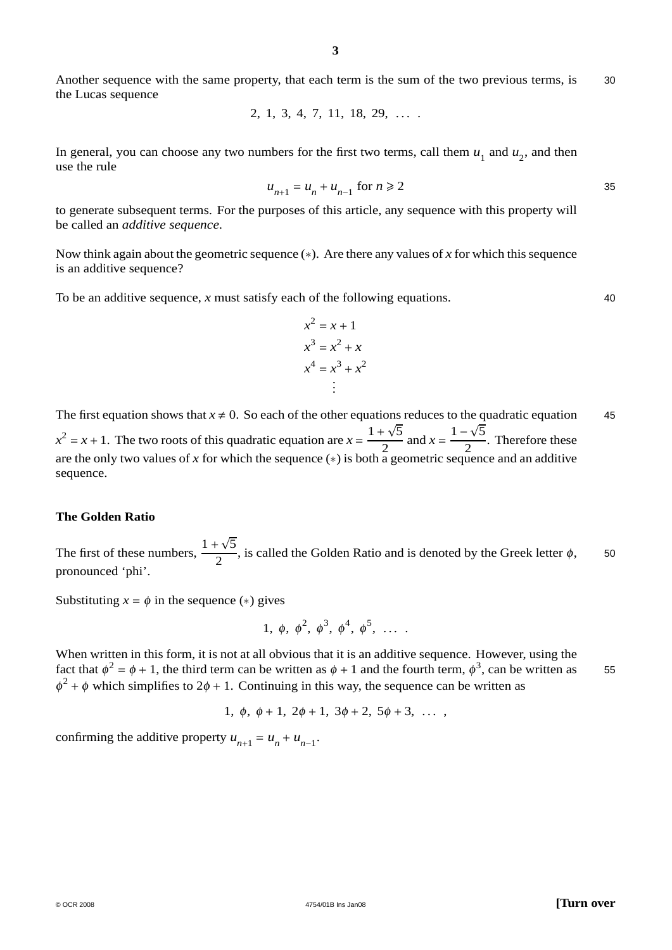Another sequence with the same property, that each term is the sum of the two previous terms, is 30 the Lucas sequence

$$
2, 1, 3, 4, 7, 11, 18, 29, \ldots
$$

In general, you can choose any two numbers for the first two terms, call them  $u_1$  and  $u_2$ , and then use the rule

$$
u_{n+1} = u_n + u_{n-1} \text{ for } n \ge 2
$$

to generate subsequent terms. For the purposes of this article, any sequence with this property will be called an *additive sequence*.

Now think again about the geometric sequence (∗). Are there any values of *x* for which this sequence is an additive sequence?

To be an additive sequence, *x* must satisfy each of the following equations. 40

$$
x2 = x + 1
$$
  
\n
$$
x3 = x2 + x
$$
  
\n
$$
x4 = x3 + x2
$$
  
\n
$$
\vdots
$$

The first equation shows that  $x \neq 0$ . So each of the other equations reduces to the quadratic equation 45  $x^2 = x + 1$ . The two roots of this quadratic equation are  $x = \frac{1 + \sqrt{5}}{2}$  $\frac{1+\sqrt{5}}{2}$  and  $x = \frac{1-\sqrt{5}}{2}$  $\frac{1}{2}$ . Therefore these are the only two values of x for which the sequence ( $\ast$ ) is both a geometric sequence and an additive sequence.

#### **The Golden Ratio**

The first of these numbers,  $\frac{1+\sqrt{5}}{2}$ , is called the Golden Ratio and is denoted by the Greek letter  $\phi$ , 50 pronounced 'phi'.

Substituting  $x = \phi$  in the sequence (\*) gives

1, 
$$
\phi
$$
,  $\phi^2$ ,  $\phi^3$ ,  $\phi^4$ ,  $\phi^5$ , ...

When written in this form, it is not at all obvious that it is an additive sequence. However, using the fact that  $\phi^2 = \phi + 1$ , the third term can be written as  $\phi + 1$  and the fourth term,  $\phi^3$ , can be written as 55  $\phi^2 + \phi$  which simplifies to  $2\phi + 1$ . Continuing in this way, the sequence can be written as

$$
1, \phi, \phi + 1, 2\phi + 1, 3\phi + 2, 5\phi + 3, \ldots
$$

confirming the additive property  $u_{n+1} = u_n + u_{n-1}$ .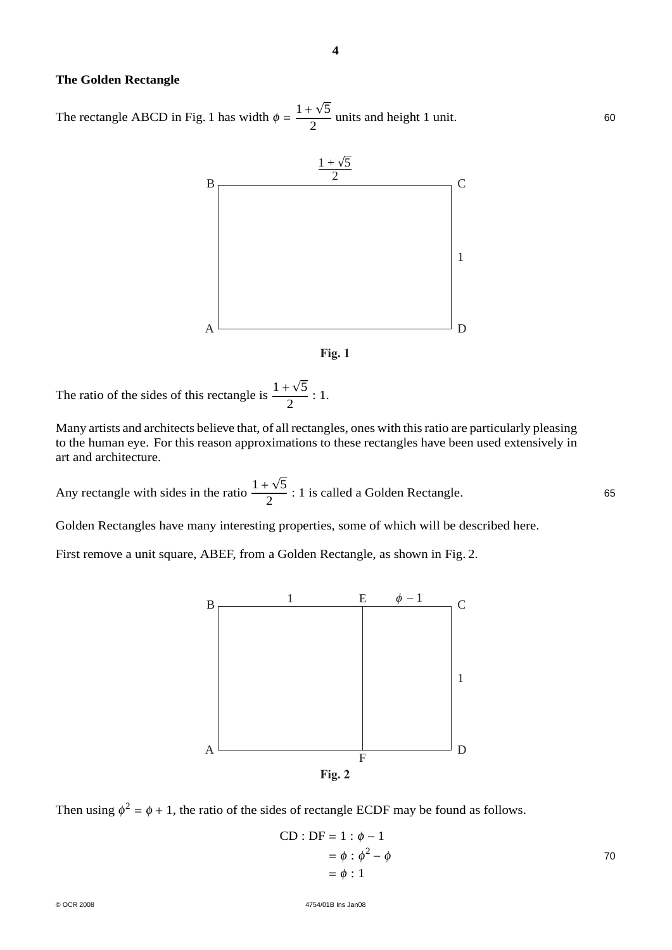### **The Golden Rectangle**

The rectangle ABCD in Fig. 1 has width  $\phi = \frac{1 + \sqrt{5}}{2}$  units and height 1 unit. 60



**4**



The ratio of the sides of this rectangle is  $\frac{1 + \sqrt{5}}{2}$  : 1.

Many artists and architects believe that, of all rectangles, ones with this ratio are particularly pleasing to the human eye. For this reason approximations to these rectangles have been used extensively in art and architecture.

Any rectangle with sides in the ratio  $\frac{1+\sqrt{5}}{2}$ : 1 is called a Golden Rectangle. 65

Golden Rectangles have many interesting properties, some of which will be described here.

First remove a unit square, ABEF, from a Golden Rectangle, as shown in Fig. 2.



Then using  $\phi^2 = \phi + 1$ , the ratio of the sides of rectangle ECDF may be found as follows.

$$
CD : DF = 1 : \phi - 1
$$
  
=  $\phi : \phi^2 - \phi$   
=  $\phi : 1$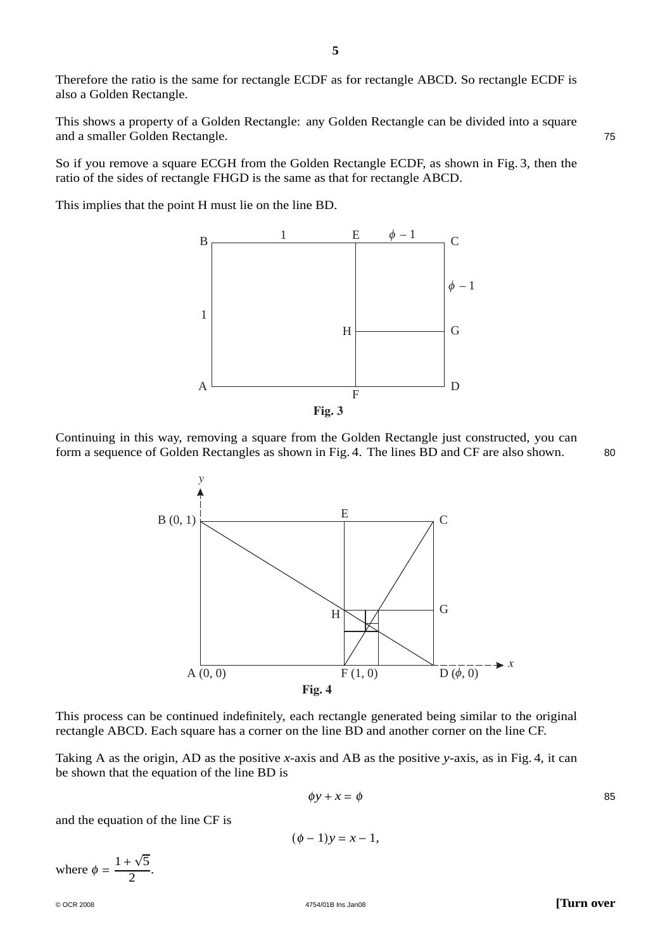Therefore the ratio is the same for rectangle ECDF as for rectangle ABCD. So rectangle ECDF is also a Golden Rectangle.

This shows a property of a Golden Rectangle: any Golden Rectangle can be divided into a square and a smaller Golden Rectangle. 75

So if you remove a square ECGH from the Golden Rectangle ECDF, as shown in Fig. 3, then the ratio of the sides of rectangle FHGD is the same as that for rectangle ABCD.

This implies that the point H must lie on the line BD.



**Fig. 3**

Continuing in this way, removing a square from the Golden Rectangle just constructed, you can form a sequence of Golden Rectangles as shown in Fig. 4. The lines BD and CF are also shown. 80



This process can be continued indefinitely, each rectangle generated being similar to the original rectangle ABCD. Each square has a corner on the line BD and another corner on the line CF.

Taking A as the origin, AD as the positive *x*-axis and AB as the positive *y*-axis, as in Fig. 4, it can be shown that the equation of the line BD is

$$
\phi y + x = \phi \tag{85}
$$

and the equation of the line CF is

$$
(\phi-1)y=x-1,
$$

where  $\phi = \frac{1 + \sqrt{5}}{2}$ .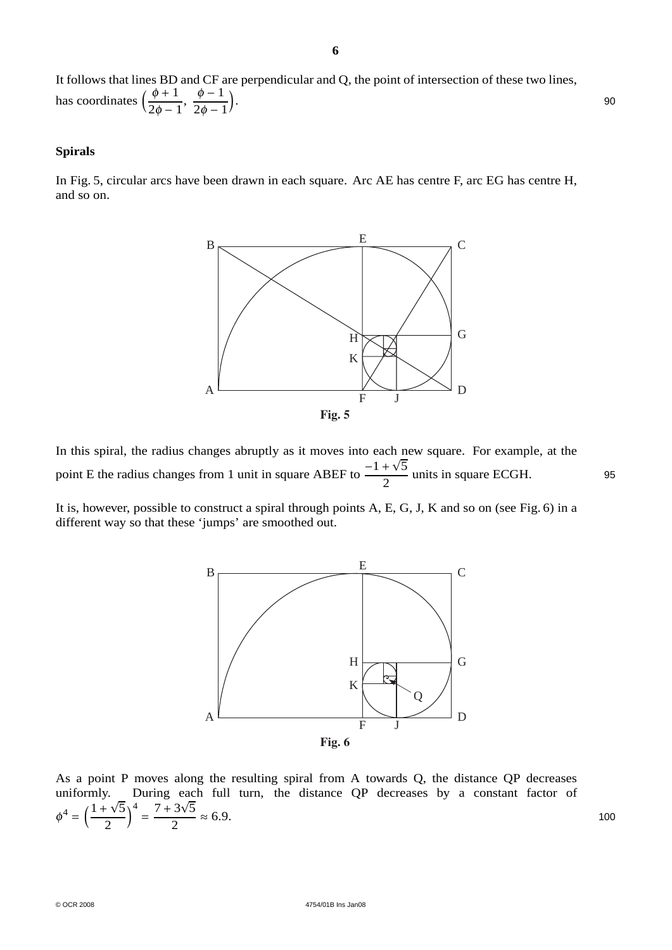It follows that lines BD and CF are perpendicular and Q, the point of intersection of these two lines, has coordinates  $\left(\frac{\phi+1}{2\phi}\right)$  $2\phi - 1$  $\frac{\phi-1}{\phi}$  $\frac{1}{2\phi-1}$ . 90

#### **Spirals**

In Fig. 5, circular arcs have been drawn in each square. Arc AE has centre F, arc EG has centre H, and so on.



In this spiral, the radius changes abruptly as it moves into each new square. For example, at the point E the radius changes from 1 unit in square ABEF to  $\frac{-1 + \sqrt{5}}{2}$  units in square ECGH. 95

It is, however, possible to construct a spiral through points A, E, G, J, K and so on (see Fig. 6) in a different way so that these 'jumps' are smoothed out.



As a point P moves along the resulting spiral from A towards Q, the distance QP decreases uniformly. During each full turn, the distance QP decreases by a constant factor of  $\phi^4 = \left(\frac{1+\sqrt{5}}{2}\right)$  $\frac{1}{2}$  $\frac{4}{2} = \frac{7 + 3\sqrt{5}}{2} \approx 6.9.$  100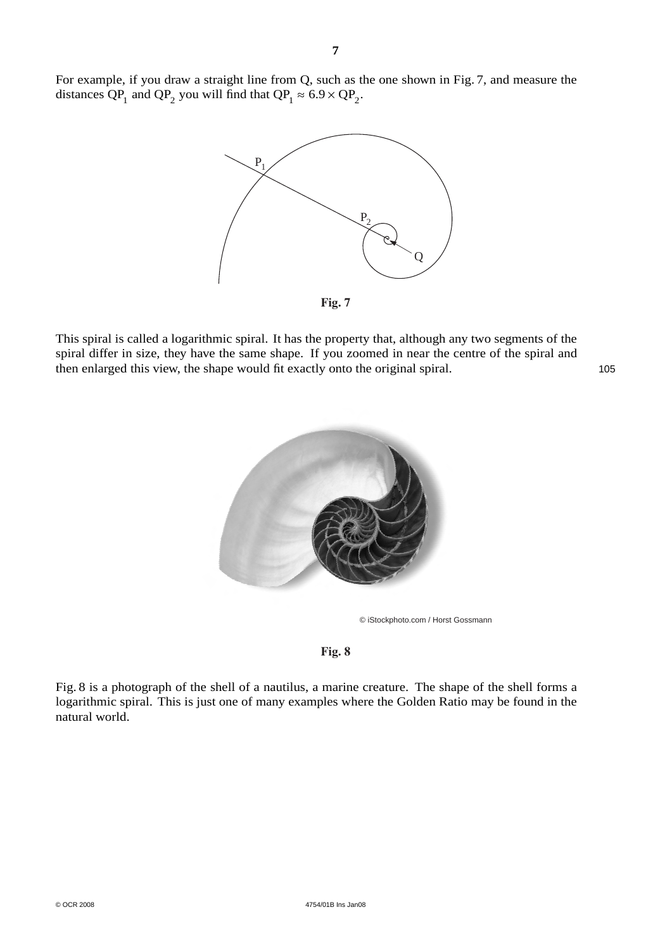For example, if you draw a straight line from Q, such as the one shown in Fig. 7, and measure the distances QP<sub>1</sub> and QP<sub>2</sub> you will find that QP<sub>1</sub>  $\approx 6.9 \times \text{QP}_2$ .



This spiral is called a logarithmic spiral. It has the property that, although any two segments of the spiral differ in size, they have the same shape. If you zoomed in near the centre of the spiral and then enlarged this view, the shape would fit exactly onto the original spiral. 105





**Fig. 8**

Fig. 8 is a photograph of the shell of a nautilus, a marine creature. The shape of the shell forms a logarithmic spiral. This is just one of many examples where the Golden Ratio may be found in the natural world.